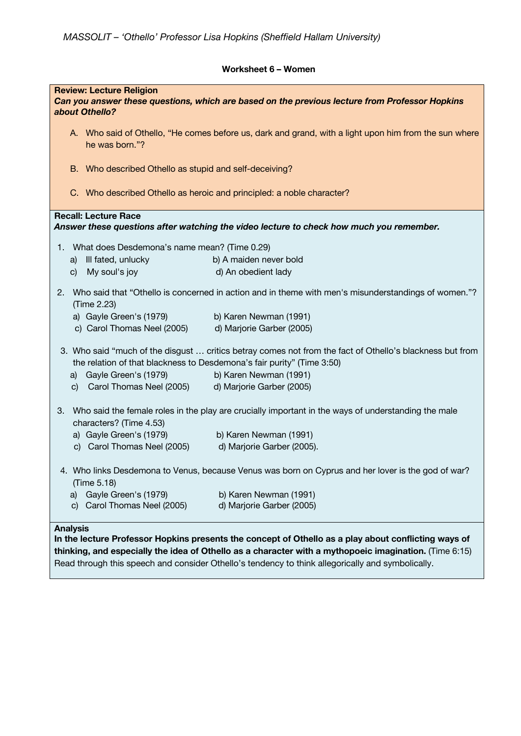## **Worksheet 6 – Women**

| <b>Review: Lecture Religion</b><br>Can you answer these questions, which are based on the previous lecture from Professor Hopkins<br>about Othello?                                |                                                                                                       |  |  |  |  |  |  |
|------------------------------------------------------------------------------------------------------------------------------------------------------------------------------------|-------------------------------------------------------------------------------------------------------|--|--|--|--|--|--|
| he was born."?                                                                                                                                                                     | A. Who said of Othello, "He comes before us, dark and grand, with a light upon him from the sun where |  |  |  |  |  |  |
|                                                                                                                                                                                    | B. Who described Othello as stupid and self-deceiving?                                                |  |  |  |  |  |  |
|                                                                                                                                                                                    | C. Who described Othello as heroic and principled: a noble character?                                 |  |  |  |  |  |  |
| <b>Recall: Lecture Race</b><br>Answer these questions after watching the video lecture to check how much you remember.                                                             |                                                                                                       |  |  |  |  |  |  |
| 1. What does Desdemona's name mean? (Time 0.29)                                                                                                                                    |                                                                                                       |  |  |  |  |  |  |
| Ill fated, unlucky<br>a)                                                                                                                                                           | b) A maiden never bold                                                                                |  |  |  |  |  |  |
| My soul's joy<br>C)                                                                                                                                                                | d) An obedient lady                                                                                   |  |  |  |  |  |  |
|                                                                                                                                                                                    |                                                                                                       |  |  |  |  |  |  |
| Who said that "Othello is concerned in action and in theme with men's misunderstandings of women."?<br>2.<br>(Time 2.23)                                                           |                                                                                                       |  |  |  |  |  |  |
| a) Gayle Green's (1979)                                                                                                                                                            | b) Karen Newman (1991)                                                                                |  |  |  |  |  |  |
| c) Carol Thomas Neel (2005)                                                                                                                                                        | d) Marjorie Garber (2005)                                                                             |  |  |  |  |  |  |
| 3. Who said "much of the disgust  critics betray comes not from the fact of Othello's blackness but from<br>the relation of that blackness to Desdemona's fair purity" (Time 3:50) |                                                                                                       |  |  |  |  |  |  |
| a) Gayle Green's (1979)                                                                                                                                                            | b) Karen Newman (1991)                                                                                |  |  |  |  |  |  |
| c) Carol Thomas Neel (2005)                                                                                                                                                        | d) Marjorie Garber (2005)                                                                             |  |  |  |  |  |  |
| Who said the female roles in the play are crucially important in the ways of understanding the male<br>3.<br>characters? (Time 4.53)                                               |                                                                                                       |  |  |  |  |  |  |
| a) Gayle Green's (1979)                                                                                                                                                            | b) Karen Newman (1991)                                                                                |  |  |  |  |  |  |
| c) Carol Thomas Neel (2005) d) Marjorie Garber (2005).                                                                                                                             |                                                                                                       |  |  |  |  |  |  |
| 4. Who links Desdemona to Venus, because Venus was born on Cyprus and her lover is the god of war?<br>(Time 5.18)                                                                  |                                                                                                       |  |  |  |  |  |  |
| Gayle Green's (1979)<br>a)                                                                                                                                                         | b) Karen Newman (1991)                                                                                |  |  |  |  |  |  |
| Carol Thomas Neel (2005)<br>C)                                                                                                                                                     | d) Marjorie Garber (2005)                                                                             |  |  |  |  |  |  |
|                                                                                                                                                                                    |                                                                                                       |  |  |  |  |  |  |
| <b>Analysis</b><br>In the lecture Professor Hopkins presents the concept of Othello as a play about conflicting ways of                                                            |                                                                                                       |  |  |  |  |  |  |

**thinking, and especially the idea of Othello as a character with a mythopoeic imagination.** (Time 6:15) Read through this speech and consider Othello's tendency to think allegorically and symbolically.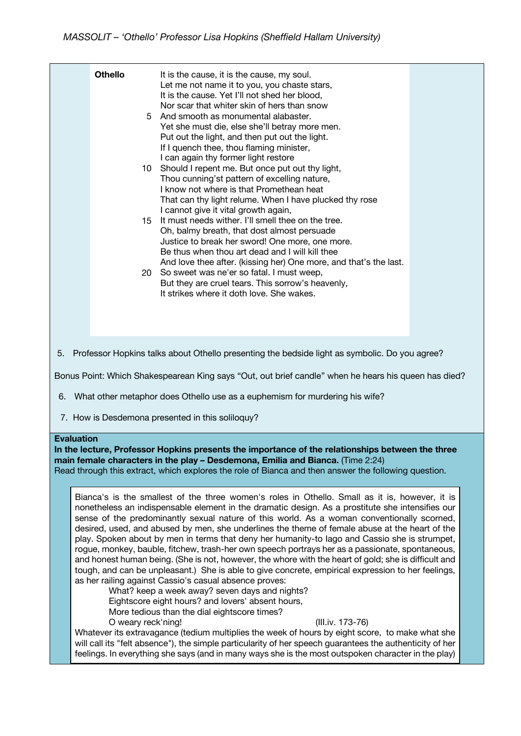|    |  | <b>Othello</b> | 15 | It is the cause, it is the cause, my soul.<br>Let me not name it to you, you chaste stars,<br>It is the cause. Yet I'll not shed her blood,<br>Nor scar that whiter skin of hers than snow<br>5 And smooth as monumental alabaster.<br>Yet she must die, else she'll betray more men.<br>Put out the light, and then put out the light.<br>If I quench thee, thou flaming minister,<br>I can again thy former light restore<br>10 Should I repent me. But once put out thy light,<br>Thou cunning'st pattern of excelling nature,<br>I know not where is that Promethean heat<br>That can thy light relume. When I have plucked thy rose<br>I cannot give it vital growth again,<br>It must needs wither. I'll smell thee on the tree.<br>Oh, balmy breath, that dost almost persuade<br>Justice to break her sword! One more, one more.<br>Be thus when thou art dead and I will kill thee<br>And love thee after. (kissing her) One more, and that's the last.<br>20 So sweet was ne'er so fatal. I must weep,<br>But they are cruel tears. This sorrow's heavenly,<br>It strikes where it doth love. She wakes. |  |  |
|----|--|----------------|----|--------------------------------------------------------------------------------------------------------------------------------------------------------------------------------------------------------------------------------------------------------------------------------------------------------------------------------------------------------------------------------------------------------------------------------------------------------------------------------------------------------------------------------------------------------------------------------------------------------------------------------------------------------------------------------------------------------------------------------------------------------------------------------------------------------------------------------------------------------------------------------------------------------------------------------------------------------------------------------------------------------------------------------------------------------------------------------------------------------------------|--|--|
| 5. |  |                |    | Professor Hopkins talks about Othello presenting the bedside light as symbolic. Do you agree?                                                                                                                                                                                                                                                                                                                                                                                                                                                                                                                                                                                                                                                                                                                                                                                                                                                                                                                                                                                                                      |  |  |
|    |  |                |    |                                                                                                                                                                                                                                                                                                                                                                                                                                                                                                                                                                                                                                                                                                                                                                                                                                                                                                                                                                                                                                                                                                                    |  |  |

Bonus Point: Which Shakespearean King says "Out, out brief candle" when he hears his queen has died?

- 6. What other metaphor does Othello use as a euphemism for murdering his wife?
- 7. How is Desdemona presented in this soliloquy?

## **Evaluation**

**In the lecture, Professor Hopkins presents the importance of the relationships between the three main female characters in the play – Desdemona, Emilia and Bianca.** (Time 2:24)

Read through this extract, which explores the role of Bianca and then answer the following question.

Bianca's is the smallest of the three women's roles in Othello. Small as it is, however, it is nonetheless an indispensable element in the dramatic design. As a prostitute she intensifies our sense of the predominantly sexual nature of this world. As a woman conventionally scorned, desired, used, and abused by men, she underlines the theme of female abuse at the heart of the play. Spoken about by men in terms that deny her humanity-to Iago and Cassio she is strumpet, rogue, monkey, bauble, fitchew, trash-her own speech portrays her as a passionate, spontaneous, and honest human being. (She is not, however, the whore with the heart of gold; she is difficult and tough, and can be unpleasant.) She is able to give concrete, empirical expression to her feelings, as her railing against Cassio's casual absence proves:

What? keep a week away? seven days and nights? Eightscore eight hours? and lovers' absent hours,

More tedious than the dial eightscore times?

O weary reck'ning! (III.iv. 173-76)

Whatever its extravagance (tedium multiplies the week of hours by eight score, to make what she will call its "felt absence"), the simple particularity of her speech guarantees the authenticity of her feelings. In everything she says (and in many ways she is the most outspoken character in the play)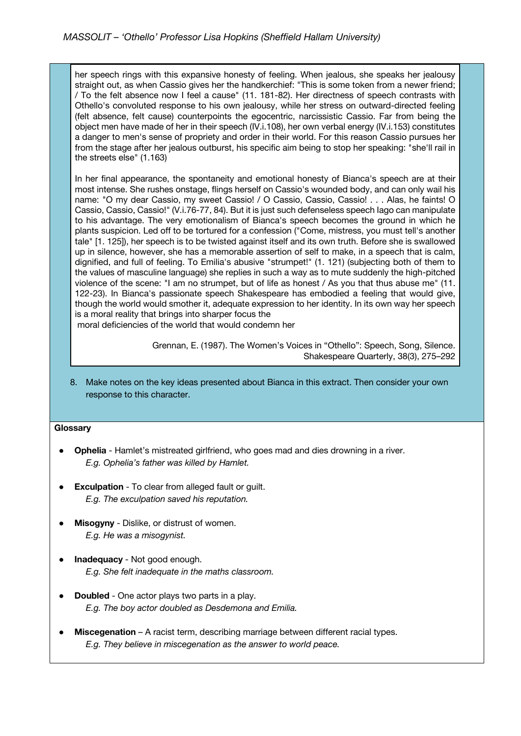her speech rings with this expansive honesty of feeling. When jealous, she speaks her jealousy straight out, as when Cassio gives her the handkerchief: "This is some token from a newer friend; / To the felt absence now I feel a cause" (11. 181-82). Her directness of speech contrasts with Othello's convoluted response to his own jealousy, while her stress on outward-directed feeling (felt absence, felt cause) counterpoints the egocentric, narcissistic Cassio. Far from being the object men have made of her in their speech (IV.i.108), her own verbal energy (IV.i.153) constitutes a danger to men's sense of propriety and order in their world. For this reason Cassio pursues her from the stage after her jealous outburst, his specific aim being to stop her speaking: "she'll rail in the streets else" (1.163)

In her final appearance, the spontaneity and emotional honesty of Bianca's speech are at their most intense. She rushes onstage, flings herself on Cassio's wounded body, and can only wail his name: "O my dear Cassio, my sweet Cassio! / O Cassio, Cassio, Cassio! . . . Alas, he faints! O Cassio, Cassio, Cassio!" (V.i.76-77, 84). But it is just such defenseless speech Iago can manipulate to his advantage. The very emotionalism of Bianca's speech becomes the ground in which he plants suspicion. Led off to be tortured for a confession ("Come, mistress, you must tell's another tale" [1. 125]), her speech is to be twisted against itself and its own truth. Before she is swallowed up in silence, however, she has a memorable assertion of self to make, in a speech that is calm, dignified, and full of feeling. To Emilia's abusive "strumpet!" (1. 121) (subjecting both of them to the values of masculine language) she replies in such a way as to mute suddenly the high-pitched violence of the scene: "I am no strumpet, but of life as honest / As you that thus abuse me" (11. 122-23). In Bianca's passionate speech Shakespeare has embodied a feeling that would give, though the world would smother it, adequate expression to her identity. In its own way her speech is a moral reality that brings into sharper focus the

moral deficiencies of the world that would condemn her

 Grennan, E. (1987). The Women's Voices in "Othello": Speech, Song, Silence. Shakespeare Quarterly, 38(3), 275–292

8. Make notes on the key ideas presented about Bianca in this extract. Then consider your own response to this character.

## **Glossary**

- **Ophelia** Hamlet's mistreated girlfriend, who goes mad and dies drowning in a river. *E.g. Ophelia's father was killed by Hamlet.*
- **Exculpation** To clear from alleged fault or guilt. *E.g. The exculpation saved his reputation.*
- **Misogyny** Dislike, or distrust of women. *E.g. He was a misogynist.*
- **Inadequacy** Not good enough. *E.g. She felt inadequate in the maths classroom.*
- **Doubled** One actor plays two parts in a play. *E.g. The boy actor doubled as Desdemona and Emilia.*
- **Miscegenation** A racist term, describing marriage between different racial types. *E.g. They believe in miscegenation as the answer to world peace.*